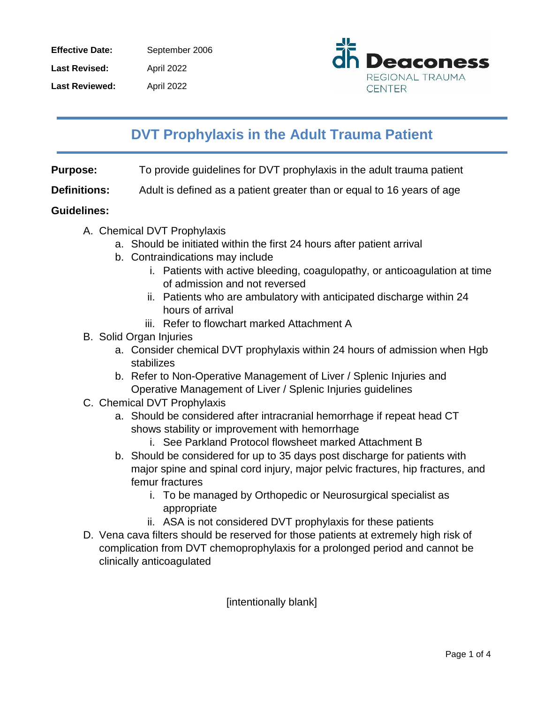| <b>Effective Date:</b> | September 2006    |
|------------------------|-------------------|
| <b>Last Revised:</b>   | <b>April 2022</b> |
| <b>Last Reviewed:</b>  | April 2022        |



# **DVT Prophylaxis in the Adult Trauma Patient**

**Purpose:** To provide guidelines for DVT prophylaxis in the adult trauma patient

**Definitions:** Adult is defined as a patient greater than or equal to 16 years of age

#### **Guidelines:**

- A. Chemical DVT Prophylaxis
	- a. Should be initiated within the first 24 hours after patient arrival
	- b. Contraindications may include
		- i. Patients with active bleeding, coagulopathy, or anticoagulation at time of admission and not reversed
		- ii. Patients who are ambulatory with anticipated discharge within 24 hours of arrival
		- iii. Refer to flowchart marked Attachment A
- B. Solid Organ Injuries
	- a. Consider chemical DVT prophylaxis within 24 hours of admission when Hgb stabilizes
	- b. Refer to Non-Operative Management of Liver / Splenic Injuries and Operative Management of Liver / Splenic Injuries guidelines
- C. Chemical DVT Prophylaxis
	- a. Should be considered after intracranial hemorrhage if repeat head CT shows stability or improvement with hemorrhage
		- i. See Parkland Protocol flowsheet marked Attachment B
	- b. Should be considered for up to 35 days post discharge for patients with major spine and spinal cord injury, major pelvic fractures, hip fractures, and femur fractures
		- i. To be managed by Orthopedic or Neurosurgical specialist as appropriate
		- ii. ASA is not considered DVT prophylaxis for these patients
- D. Vena cava filters should be reserved for those patients at extremely high risk of complication from DVT chemoprophylaxis for a prolonged period and cannot be clinically anticoagulated

[intentionally blank]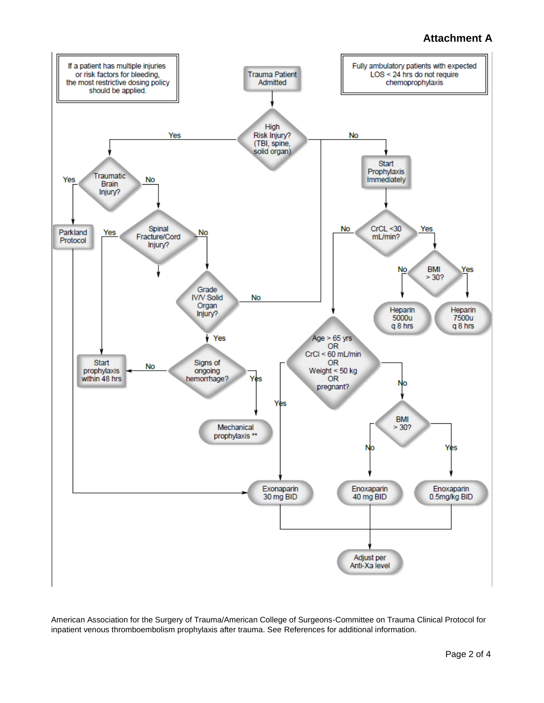## **Attachment A**



American Association for the Surgery of Trauma/American College of Surgeons-Committee on Trauma Clinical Protocol for inpatient venous thromboembolism prophylaxis after trauma. See References for additional information.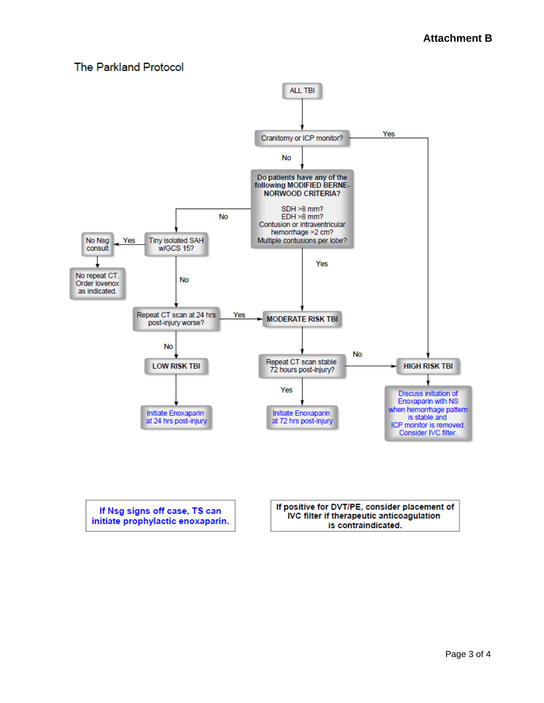## **The Parkland Protocol**



If Nsg signs off case, TS can initiate prophylactic enoxaparin. If positive for DVT/PE, consider placement of IVC filter if therapeutic anticoagulation is contraindicated.